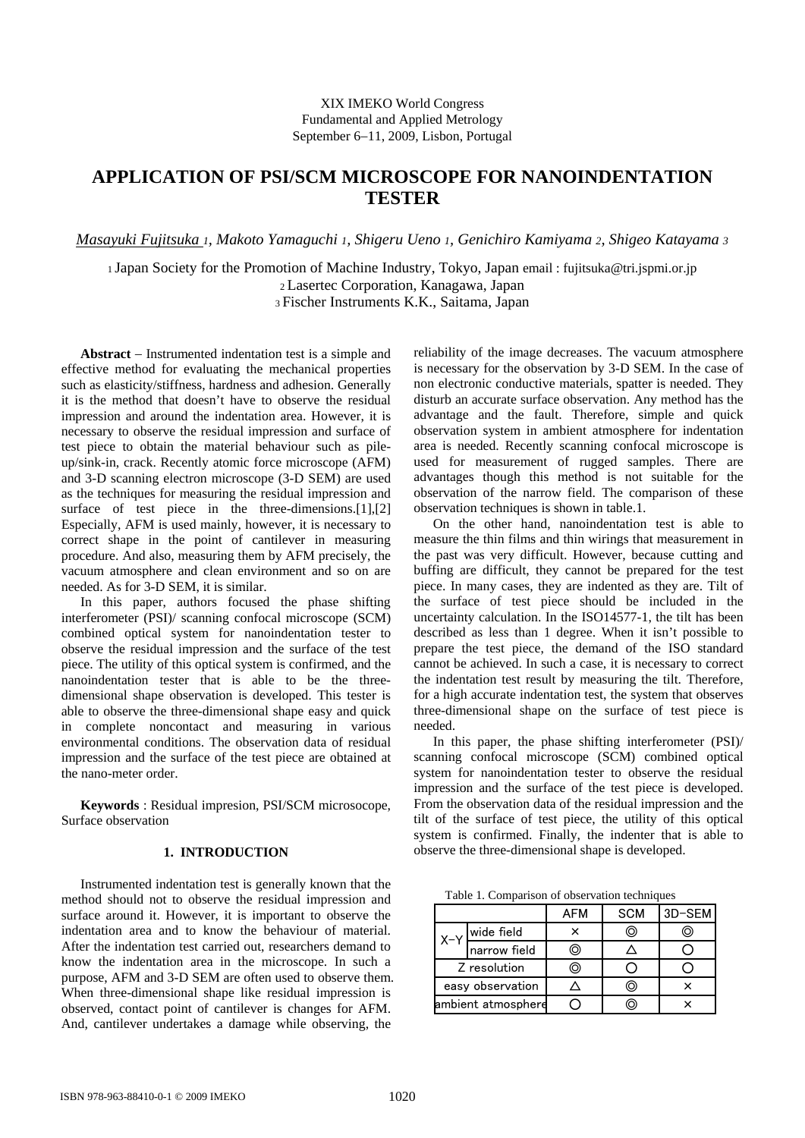## XIX IMEKO World Congress Fundamental and Applied Metrology September 6−11, 2009, Lisbon, Portugal

# **APPLICATION OF PSI/SCM MICROSCOPE FOR NANOINDENTATION TESTER**

*Masayuki Fujitsuka 1, Makoto Yamaguchi 1, Shigeru Ueno 1, Genichiro Kamiyama 2, Shigeo Katayama 3* 

1 Japan Society for the Promotion of Machine Industry, Tokyo, Japan email : fujitsuka@tri.jspmi.or.jp 2 Lasertec Corporation, Kanagawa, Japan

3 Fischer Instruments K.K., Saitama, Japan

**Abstract** − Instrumented indentation test is a simple and effective method for evaluating the mechanical properties such as elasticity/stiffness, hardness and adhesion. Generally it is the method that doesn't have to observe the residual impression and around the indentation area. However, it is necessary to observe the residual impression and surface of test piece to obtain the material behaviour such as pileup/sink-in, crack. Recently atomic force microscope (AFM) and 3-D scanning electron microscope (3-D SEM) are used as the techniques for measuring the residual impression and surface of test piece in the three-dimensions.[1],[2] Especially, AFM is used mainly, however, it is necessary to correct shape in the point of cantilever in measuring procedure. And also, measuring them by AFM precisely, the vacuum atmosphere and clean environment and so on are needed. As for 3-D SEM, it is similar.

In this paper, authors focused the phase shifting interferometer (PSI)/ scanning confocal microscope (SCM) combined optical system for nanoindentation tester to observe the residual impression and the surface of the test piece. The utility of this optical system is confirmed, and the nanoindentation tester that is able to be the threedimensional shape observation is developed. This tester is able to observe the three-dimensional shape easy and quick in complete noncontact and measuring in various environmental conditions. The observation data of residual impression and the surface of the test piece are obtained at the nano-meter order.

**Keywords** : Residual impresion, PSI/SCM microsocope, Surface observation

# **1. INTRODUCTION**

Instrumented indentation test is generally known that the method should not to observe the residual impression and surface around it. However, it is important to observe the indentation area and to know the behaviour of material. After the indentation test carried out, researchers demand to know the indentation area in the microscope. In such a purpose, AFM and 3-D SEM are often used to observe them. When three-dimensional shape like residual impression is observed, contact point of cantilever is changes for AFM. And, cantilever undertakes a damage while observing, the

reliability of the image decreases. The vacuum atmosphere is necessary for the observation by 3-D SEM. In the case of non electronic conductive materials, spatter is needed. They disturb an accurate surface observation. Any method has the advantage and the fault. Therefore, simple and quick observation system in ambient atmosphere for indentation area is needed. Recently scanning confocal microscope is used for measurement of rugged samples. There are advantages though this method is not suitable for the observation of the narrow field. The comparison of these observation techniques is shown in table.1.

On the other hand, nanoindentation test is able to measure the thin films and thin wirings that measurement in the past was very difficult. However, because cutting and buffing are difficult, they cannot be prepared for the test piece. In many cases, they are indented as they are. Tilt of the surface of test piece should be included in the uncertainty calculation. In the ISO14577-1, the tilt has been described as less than 1 degree. When it isn't possible to prepare the test piece, the demand of the ISO standard cannot be achieved. In such a case, it is necessary to correct the indentation test result by measuring the tilt. Therefore, for a high accurate indentation test, the system that observes three-dimensional shape on the surface of test piece is needed.

In this paper, the phase shifting interferometer (PSI)/ scanning confocal microscope (SCM) combined optical system for nanoindentation tester to observe the residual impression and the surface of the test piece is developed. From the observation data of the residual impression and the tilt of the surface of test piece, the utility of this optical system is confirmed. Finally, the indenter that is able to observe the three-dimensional shape is developed.

Table 1. Comparison of observation techniques

|                    |              | AFM | <b>SCM</b> | 3D-SEM |
|--------------------|--------------|-----|------------|--------|
| $X-Y$              | wide field   |     | O          |        |
|                    | narrow field |     |            |        |
| Z resolution       |              |     |            |        |
| easy observation   |              |     | O.         |        |
| ambient atmosphere |              |     | ו ז        |        |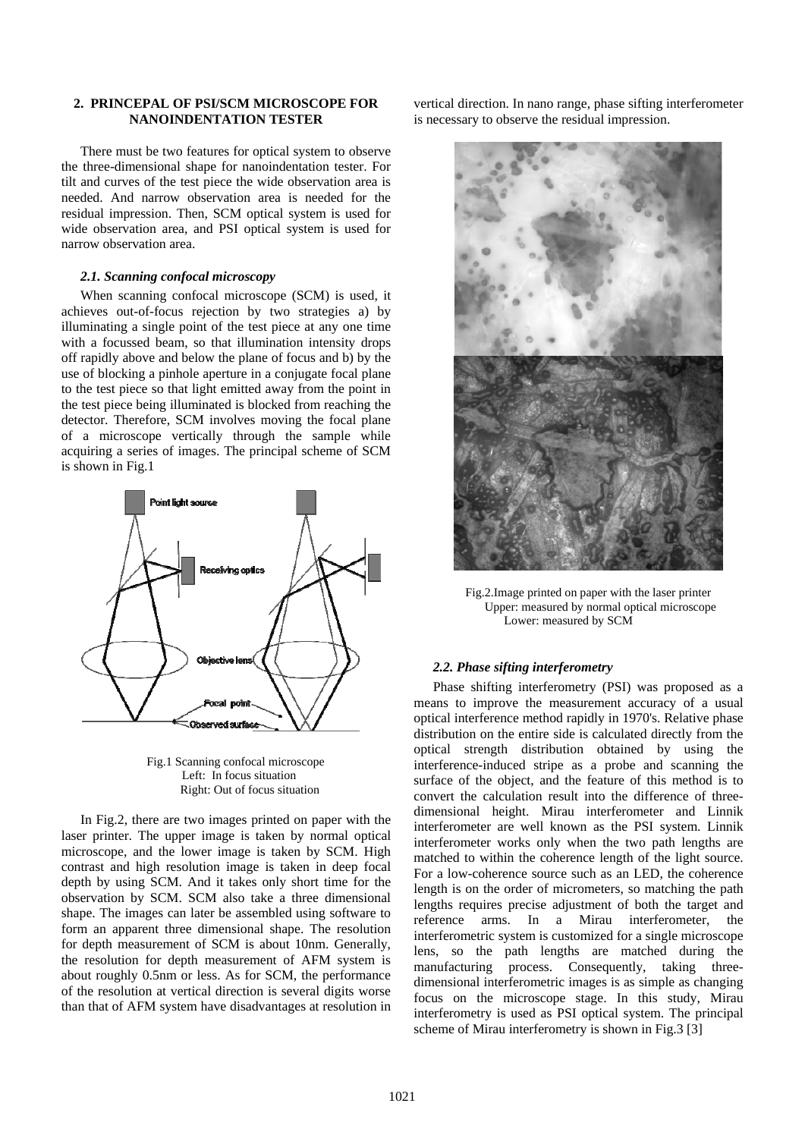## **2. PRINCEPAL OF PSI/SCM MICROSCOPE FOR NANOINDENTATION TESTER**

There must be two features for optical system to observe the three-dimensional shape for nanoindentation tester. For tilt and curves of the test piece the wide observation area is needed. And narrow observation area is needed for the residual impression. Then, SCM optical system is used for wide observation area, and PSI optical system is used for narrow observation area.

#### *2.1. Scanning confocal microscopy*

When scanning confocal microscope (SCM) is used, it achieves out-of-focus rejection by two strategies a) by illuminating a single point of the test piece at any one time with a focussed beam, so that illumination intensity drops off rapidly above and below the plane of focus and b) by the use of blocking a pinhole aperture in a conjugate focal plane to the test piece so that light emitted away from the point in the test piece being illuminated is blocked from reaching the detector. Therefore, SCM involves moving the focal plane of a microscope vertically through the sample while acquiring a series of images. The principal scheme of SCM is shown in Fig.1



Fig.1 Scanning confocal microscope Left: In focus situation Right: Out of focus situation

In Fig.2, there are two images printed on paper with the laser printer. The upper image is taken by normal optical microscope, and the lower image is taken by SCM. High contrast and high resolution image is taken in deep focal depth by using SCM. And it takes only short time for the observation by SCM. SCM also take a three dimensional shape. The images can later be assembled using software to form an apparent three dimensional shape. The resolution for depth measurement of SCM is about 10nm. Generally, the resolution for depth measurement of AFM system is about roughly 0.5nm or less. As for SCM, the performance of the resolution at vertical direction is several digits worse than that of AFM system have disadvantages at resolution in

vertical direction. In nano range, phase sifting interferometer is necessary to observe the residual impression.



Fig.2.Image printed on paper with the laser printer Upper: measured by normal optical microscope Lower: measured by SCM

## *2.2. Phase sifting interferometry*

Phase shifting interferometry (PSI) was proposed as a means to improve the measurement accuracy of a usual optical interference method rapidly in 1970's. Relative phase distribution on the entire side is calculated directly from the optical strength distribution obtained by using the interference-induced stripe as a probe and scanning the surface of the object, and the feature of this method is to convert the calculation result into the difference of threedimensional height. Mirau interferometer and Linnik interferometer are well known as the PSI system. Linnik interferometer works only when the two path lengths are matched to within the coherence length of the light source. For a low-coherence source such as an LED, the coherence length is on the order of micrometers, so matching the path lengths requires precise adjustment of both the target and reference arms. In a Mirau interferometer, the interferometric system is customized for a single microscope lens, so the path lengths are matched during the manufacturing process. Consequently, taking threedimensional interferometric images is as simple as changing focus on the microscope stage. In this study, Mirau interferometry is used as PSI optical system. The principal scheme of Mirau interferometry is shown in Fig.3 [3]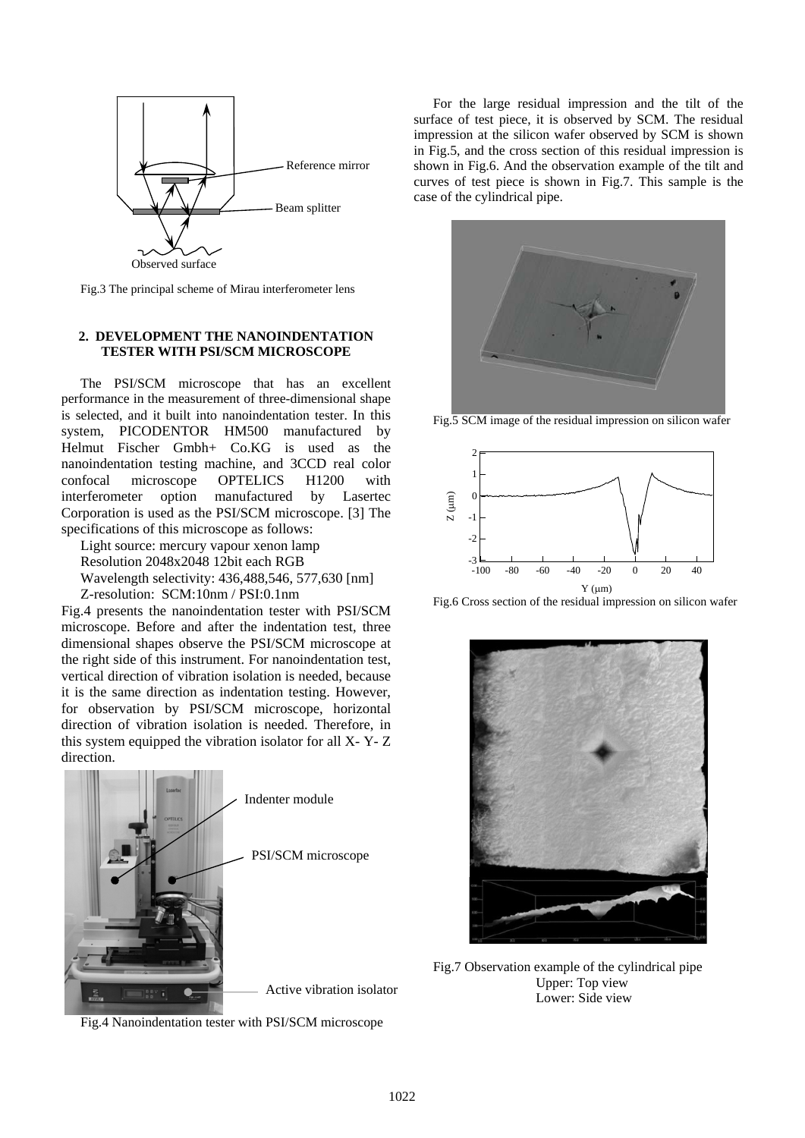

Fig.3 The principal scheme of Mirau interferometer lens

## **2. DEVELOPMENT THE NANOINDENTATION TESTER WITH PSI/SCM MICROSCOPE**

The PSI/SCM microscope that has an excellent performance in the measurement of three-dimensional shape is selected, and it built into nanoindentation tester. In this system, PICODENTOR HM500 manufactured by Helmut Fischer Gmbh+ Co.KG is used as the nanoindentation testing machine, and 3CCD real color confocal microscope OPTELICS H1200 with interferometer option manufactured by Lasertec Corporation is used as the PSI/SCM microscope. [3] The specifications of this microscope as follows:

Light source: mercury vapour xenon lamp Resolution 2048x2048 12bit each RGB Wavelength selectivity: 436,488,546, 577,630 [nm]

Z-resolution: SCM:10nm / PSI:0.1nm Fig.4 presents the nanoindentation tester with PSI/SCM microscope. Before and after the indentation test, three dimensional shapes observe the PSI/SCM microscope at the right side of this instrument. For nanoindentation test, vertical direction of vibration isolation is needed, because it is the same direction as indentation testing. However, for observation by PSI/SCM microscope, horizontal direction of vibration isolation is needed. Therefore, in this system equipped the vibration isolator for all X- Y- Z direction.



Fig.4 Nanoindentation tester with PSI/SCM microscope

For the large residual impression and the tilt of the surface of test piece, it is observed by SCM. The residual impression at the silicon wafer observed by SCM is shown in Fig.5, and the cross section of this residual impression is shown in Fig.6. And the observation example of the tilt and curves of test piece is shown in Fig.7. This sample is the case of the cylindrical pipe.



Fig.5 SCM image of the residual impression on silicon wafer



Fig.6 Cross section of the residual impression on silicon wafer



Fig.7 Observation example of the cylindrical pipe Upper: Top view Lower: Side view